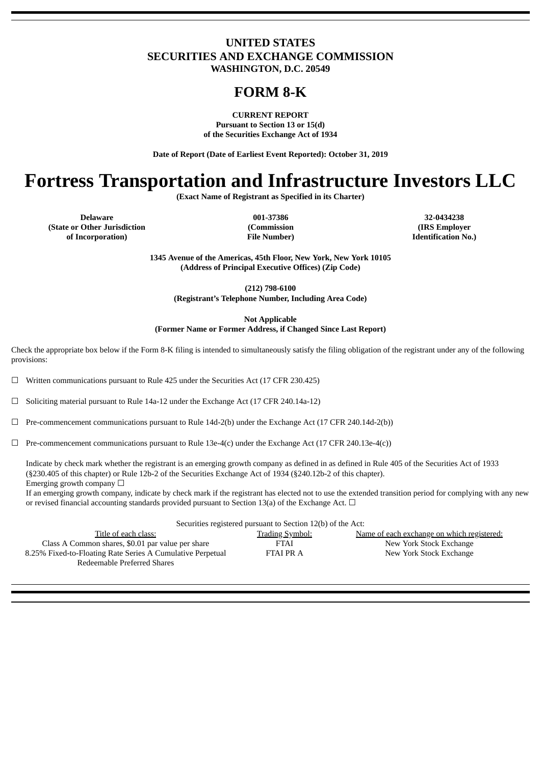# **UNITED STATES SECURITIES AND EXCHANGE COMMISSION**

**WASHINGTON, D.C. 20549**

## **FORM 8-K**

**CURRENT REPORT Pursuant to Section 13 or 15(d) of the Securities Exchange Act of 1934**

**Date of Report (Date of Earliest Event Reported): October 31, 2019**

# **Fortress Transportation and Infrastructure Investors LLC**

**(Exact Name of Registrant as Specified in its Charter)**

**Delaware 001-37386 32-0434238 (State or Other Jurisdiction of Incorporation)**

**(Commission File Number)**

**(IRS Employer Identification No.)**

**1345 Avenue of the Americas, 45th Floor, New York, New York 10105 (Address of Principal Executive Offices) (Zip Code)**

**(212) 798-6100 (Registrant's Telephone Number, Including Area Code)**

**Not Applicable**

**(Former Name or Former Address, if Changed Since Last Report)**

Check the appropriate box below if the Form 8-K filing is intended to simultaneously satisfy the filing obligation of the registrant under any of the following provisions:

 $\Box$  Written communications pursuant to Rule 425 under the Securities Act (17 CFR 230.425)

☐ Soliciting material pursuant to Rule 14a-12 under the Exchange Act (17 CFR 240.14a-12)

☐ Pre-commencement communications pursuant to Rule 14d-2(b) under the Exchange Act (17 CFR 240.14d-2(b))

 $\Box$  Pre-commencement communications pursuant to Rule 13e-4(c) under the Exchange Act (17 CFR 240.13e-4(c))

Indicate by check mark whether the registrant is an emerging growth company as defined in as defined in Rule 405 of the Securities Act of 1933 (§230.405 of this chapter) or Rule 12b-2 of the Securities Exchange Act of 1934 (§240.12b-2 of this chapter). Emerging growth company  $\Box$ 

If an emerging growth company, indicate by check mark if the registrant has elected not to use the extended transition period for complying with any new or revised financial accounting standards provided pursuant to Section 13(a) of the Exchange Act.  $\Box$ 

| Securities registered pursuant to Section 12(b) of the Act:                               |                        |                                            |  |  |  |  |  |  |  |
|-------------------------------------------------------------------------------------------|------------------------|--------------------------------------------|--|--|--|--|--|--|--|
| Title of each class:                                                                      | <b>Trading Symbol:</b> | Name of each exchange on which registered: |  |  |  |  |  |  |  |
| Class A Common shares, \$0.01 par value per share                                         | <b>FTAI</b>            | New York Stock Exchange                    |  |  |  |  |  |  |  |
| 8.25% Fixed-to-Floating Rate Series A Cumulative Perpetual<br>Redeemable Preferred Shares | <b>FTAI PRA</b>        | New York Stock Exchange                    |  |  |  |  |  |  |  |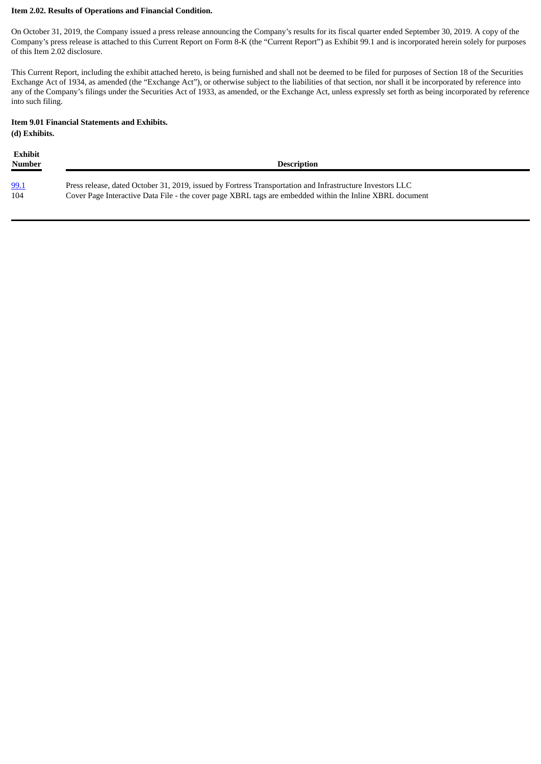#### **Item 2.02. Results of Operations and Financial Condition.**

On October 31, 2019, the Company issued a press release announcing the Company's results for its fiscal quarter ended September 30, 2019. A copy of the Company's press release is attached to this Current Report on Form 8-K (the "Current Report") as Exhibit 99.1 and is incorporated herein solely for purposes of this Item 2.02 disclosure.

This Current Report, including the exhibit attached hereto, is being furnished and shall not be deemed to be filed for purposes of Section 18 of the Securities Exchange Act of 1934, as amended (the "Exchange Act"), or otherwise subject to the liabilities of that section, nor shall it be incorporated by reference into any of the Company's filings under the Securities Act of 1933, as amended, or the Exchange Act, unless expressly set forth as being incorporated by reference into such filing.

#### **Item 9.01 Financial Statements and Exhibits.**

**(d) Exhibits.**

| Exhibit<br>Number | <b>Description</b>                                                                                        |
|-------------------|-----------------------------------------------------------------------------------------------------------|
| 99.1              | Press release, dated October 31, 2019, issued by Fortress Transportation and Infrastructure Investors LLC |
| 104               | Cover Page Interactive Data File - the cover page XBRL tags are embedded within the Inline XBRL document  |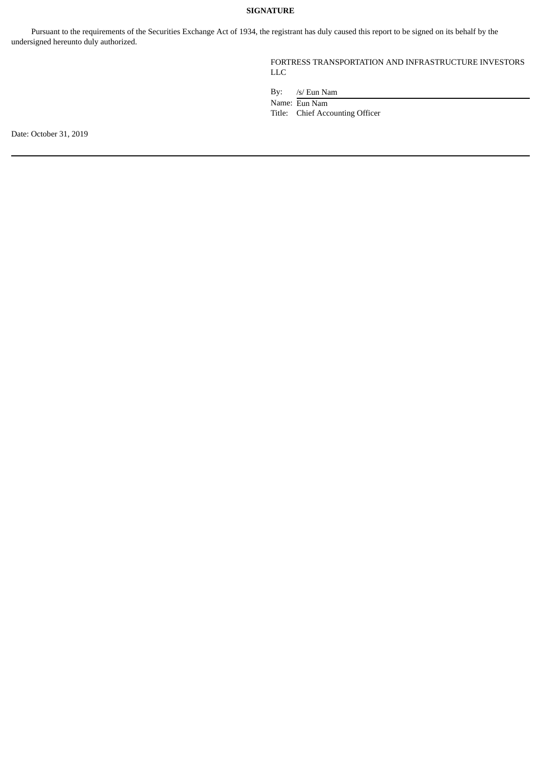### **SIGNATURE**

Pursuant to the requirements of the Securities Exchange Act of 1934, the registrant has duly caused this report to be signed on its behalf by the undersigned hereunto duly authorized.

## FORTRESS TRANSPORTATION AND INFRASTRUCTURE INVESTORS LLC

By: /s/ Eun Nam

Name: Eun Nam

Title: Chief Accounting Officer

Date: October 31, 2019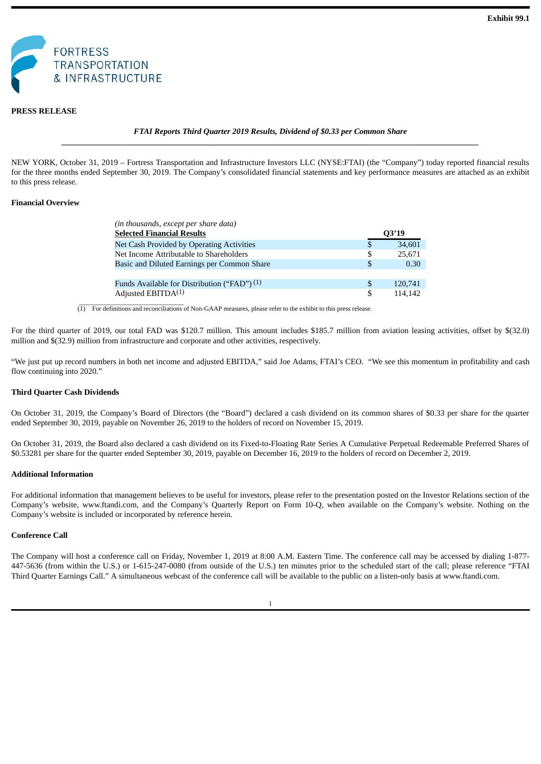<span id="page-3-0"></span>

#### **PRESS RELEASE**

#### *FTAI Reports Third Quarter 2019 Results, Dividend of \$0.33 per Common Share \_\_\_\_\_\_\_\_\_\_\_\_\_\_\_\_\_\_\_\_\_\_\_\_\_\_\_\_\_\_\_\_\_\_\_\_\_\_\_\_\_\_\_\_\_\_\_\_\_\_\_\_\_\_\_\_\_\_\_\_\_\_\_\_\_\_\_\_\_\_\_\_\_\_\_\_\_\_\_\_\_\_\_\_\_\_\_\_\_\_\_\_\_\_\_\_\_\_\_\_\_\_*

NEW YORK, October 31, 2019 – Fortress Transportation and Infrastructure Investors LLC (NYSE:FTAI) (the "Company") today reported financial results for the three months ended September 30, 2019. The Company's consolidated financial statements and key performance measures are attached as an exhibit to this press release.

#### **Financial Overview**

| (in thousands, except per share data)        |     |         |
|----------------------------------------------|-----|---------|
| <b>Selected Financial Results</b>            |     | Q3'19   |
| Net Cash Provided by Operating Activities    | S   | 34,601  |
| Net Income Attributable to Shareholders      | S   | 25,671  |
| Basic and Diluted Earnings per Common Share  | \$. | 0.30    |
|                                              |     |         |
| Funds Available for Distribution ("FAD") (1) | \$. | 120,741 |
| Adjusted EBITDA <sup>(1)</sup>               | \$. | 114.142 |

(1) For definitions and reconciliations of Non-GAAP measures, please refer to the exhibit to this press release.

For the third quarter of 2019, our total FAD was \$120.7 million. This amount includes \$185.7 million from aviation leasing activities, offset by \$(32.0) million and \$(32.9) million from infrastructure and corporate and other activities, respectively.

"We just put up record numbers in both net income and adjusted EBITDA," said Joe Adams, FTAI's CEO. "We see this momentum in profitability and cash flow continuing into 2020."

#### **Third Quarter Cash Dividends**

On October 31, 2019, the Company's Board of Directors (the "Board") declared a cash dividend on its common shares of \$0.33 per share for the quarter ended September 30, 2019, payable on November 26, 2019 to the holders of record on November 15, 2019.

On October 31, 2019, the Board also declared a cash dividend on its Fixed-to-Floating Rate Series A Cumulative Perpetual Redeemable Preferred Shares of \$0.53281 per share for the quarter ended September 30, 2019, payable on December 16, 2019 to the holders of record on December 2, 2019.

#### **Additional Information**

For additional information that management believes to be useful for investors, please refer to the presentation posted on the Investor Relations section of the Company's website, www.ftandi.com, and the Company's Quarterly Report on Form 10-Q, when available on the Company's website. Nothing on the Company's website is included or incorporated by reference herein.

#### **Conference Call**

The Company will host a conference call on Friday, November 1, 2019 at 8:00 A.M. Eastern Time. The conference call may be accessed by dialing 1-877- 447-5636 (from within the U.S.) or 1-615-247-0080 (from outside of the U.S.) ten minutes prior to the scheduled start of the call; please reference "FTAI Third Quarter Earnings Call." A simultaneous webcast of the conference call will be available to the public on a listen-only basis at www.ftandi.com.

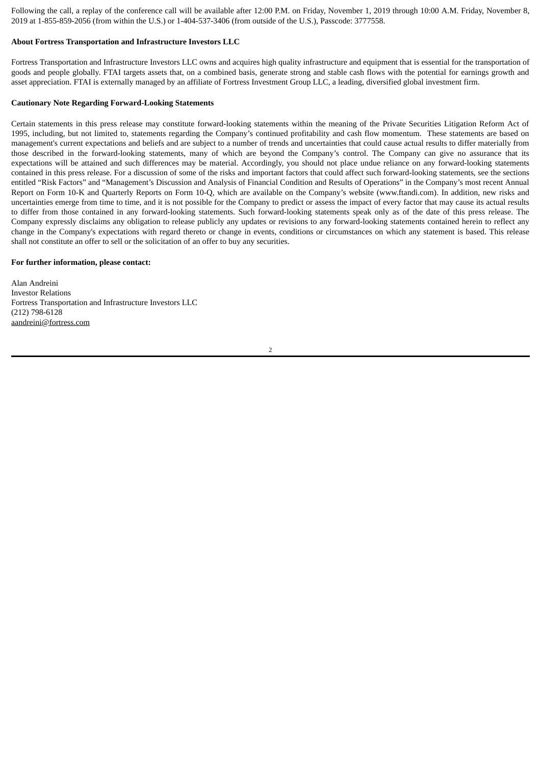Following the call, a replay of the conference call will be available after 12:00 P.M. on Friday, November 1, 2019 through 10:00 A.M. Friday, November 8, 2019 at 1-855-859-2056 (from within the U.S.) or 1-404-537-3406 (from outside of the U.S.), Passcode: 3777558.

#### **About Fortress Transportation and Infrastructure Investors LLC**

Fortress Transportation and Infrastructure Investors LLC owns and acquires high quality infrastructure and equipment that is essential for the transportation of goods and people globally. FTAI targets assets that, on a combined basis, generate strong and stable cash flows with the potential for earnings growth and asset appreciation. FTAI is externally managed by an affiliate of Fortress Investment Group LLC, a leading, diversified global investment firm.

#### **Cautionary Note Regarding Forward-Looking Statements**

Certain statements in this press release may constitute forward-looking statements within the meaning of the Private Securities Litigation Reform Act of 1995, including, but not limited to, statements regarding the Company's continued profitability and cash flow momentum. These statements are based on management's current expectations and beliefs and are subject to a number of trends and uncertainties that could cause actual results to differ materially from those described in the forward-looking statements, many of which are beyond the Company's control. The Company can give no assurance that its expectations will be attained and such differences may be material. Accordingly, you should not place undue reliance on any forward-looking statements contained in this press release. For a discussion of some of the risks and important factors that could affect such forward-looking statements, see the sections entitled "Risk Factors" and "Management's Discussion and Analysis of Financial Condition and Results of Operations" in the Company's most recent Annual Report on Form 10-K and Quarterly Reports on Form 10-Q, which are available on the Company's website (www.ftandi.com). In addition, new risks and uncertainties emerge from time to time, and it is not possible for the Company to predict or assess the impact of every factor that may cause its actual results to differ from those contained in any forward-looking statements. Such forward-looking statements speak only as of the date of this press release. The Company expressly disclaims any obligation to release publicly any updates or revisions to any forward-looking statements contained herein to reflect any change in the Company's expectations with regard thereto or change in events, conditions or circumstances on which any statement is based. This release shall not constitute an offer to sell or the solicitation of an offer to buy any securities.

#### **For further information, please contact:**

Alan Andreini Investor Relations Fortress Transportation and Infrastructure Investors LLC (212) 798-6128 aandreini@fortress.com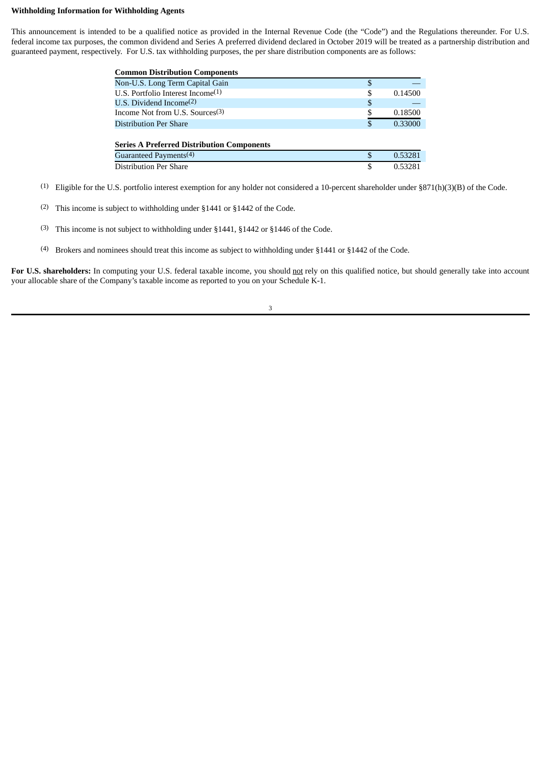#### **Withholding Information for Withholding Agents**

This announcement is intended to be a qualified notice as provided in the Internal Revenue Code (the "Code") and the Regulations thereunder. For U.S. federal income tax purposes, the common dividend and Series A preferred dividend declared in October 2019 will be treated as a partnership distribution and guaranteed payment, respectively. For U.S. tax withholding purposes, the per share distribution components are as follows:

| <b>Common Distribution Components</b>             |    |         |
|---------------------------------------------------|----|---------|
| Non-U.S. Long Term Capital Gain                   | S  |         |
| U.S. Portfolio Interest Income <sup>(1)</sup>     | S  | 0.14500 |
| U.S. Dividend Income $(2)$                        | \$ |         |
| Income Not from U.S. Sources <sup>(3)</sup>       |    | 0.18500 |
| <b>Distribution Per Share</b>                     | \$ | 0.33000 |
|                                                   |    |         |
| <b>Series A Preferred Distribution Components</b> |    |         |
| Guaranteed Payments <sup>(4)</sup>                | S  | 0.53281 |
| <b>Distribution Per Share</b>                     | \$ | 0.53281 |

- (1) Eligible for the U.S. portfolio interest exemption for any holder not considered a 10-percent shareholder under §871(h)(3)(B) of the Code.
- (2) This income is subject to withholding under §1441 or §1442 of the Code.
- (3) This income is not subject to withholding under §1441, §1442 or §1446 of the Code.
- (4) Brokers and nominees should treat this income as subject to withholding under §1441 or §1442 of the Code.

For U.S. shareholders: In computing your U.S. federal taxable income, you should not rely on this qualified notice, but should generally take into account your allocable share of the Company's taxable income as reported to you on your Schedule K-1.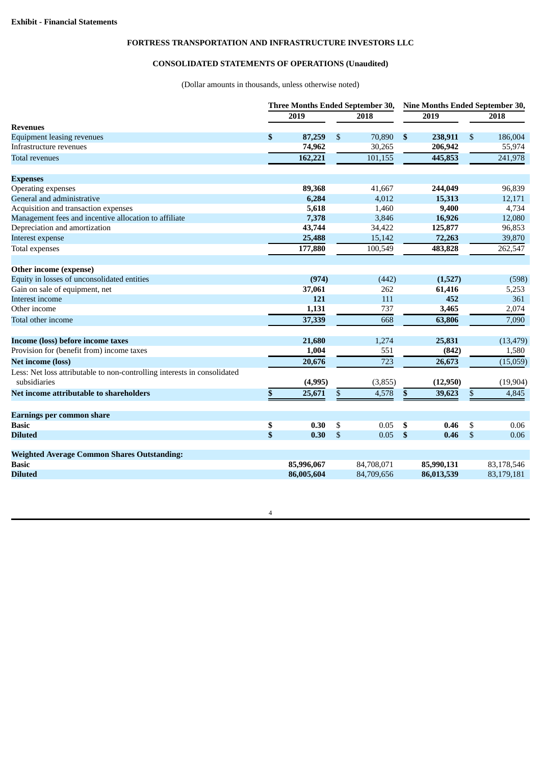## **FORTRESS TRANSPORTATION AND INFRASTRUCTURE INVESTORS LLC**

## **CONSOLIDATED STATEMENTS OF OPERATIONS (Unaudited)**

(Dollar amounts in thousands, unless otherwise noted)

|                                                                                          |          |            | Three Months Ended September 30, |                           | Nine Months Ended September 30, |               |            |  |  |  |
|------------------------------------------------------------------------------------------|----------|------------|----------------------------------|---------------------------|---------------------------------|---------------|------------|--|--|--|
|                                                                                          |          | 2019       | 2018                             |                           | 2019                            | 2018          |            |  |  |  |
| <b>Revenues</b>                                                                          |          |            |                                  |                           |                                 |               |            |  |  |  |
| <b>Equipment leasing revenues</b>                                                        | \$       | 87,259     | \$<br>70,890                     | $\boldsymbol{\mathsf{s}}$ | 238,911                         | \$            | 186,004    |  |  |  |
| Infrastructure revenues                                                                  |          | 74,962     | 30,265                           |                           | 206,942                         |               | 55,974     |  |  |  |
| <b>Total revenues</b>                                                                    |          | 162,221    | 101,155                          |                           | 445,853                         |               | 241,978    |  |  |  |
| <b>Expenses</b>                                                                          |          |            |                                  |                           |                                 |               |            |  |  |  |
| Operating expenses                                                                       |          | 89,368     | 41.667                           |                           | 244,049                         |               | 96,839     |  |  |  |
| General and administrative                                                               |          | 6,284      | 4,012                            |                           | 15,313                          |               | 12,171     |  |  |  |
| Acquisition and transaction expenses                                                     |          | 5,618      | 1,460                            |                           | 9,400                           |               | 4,734      |  |  |  |
| Management fees and incentive allocation to affiliate                                    |          | 7,378      | 3,846                            |                           | 16,926                          |               | 12,080     |  |  |  |
| Depreciation and amortization                                                            |          | 43,744     | 34,422                           |                           | 125,877                         |               | 96,853     |  |  |  |
| Interest expense                                                                         |          | 25,488     | 15,142                           |                           | 72,263                          |               | 39,870     |  |  |  |
| Total expenses                                                                           |          | 177,880    | 100,549                          |                           | 483,828                         |               | 262,547    |  |  |  |
| Other income (expense)                                                                   |          |            |                                  |                           |                                 |               |            |  |  |  |
| Equity in losses of unconsolidated entities                                              |          | (974)      | (442)                            |                           | (1,527)                         |               | (598)      |  |  |  |
| Gain on sale of equipment, net                                                           |          | 37,061     | 262                              |                           | 61,416                          |               | 5,253      |  |  |  |
| Interest income                                                                          |          | 121        | 111                              |                           | 452                             |               | 361        |  |  |  |
| Other income                                                                             |          | 1,131      | 737                              |                           | 3,465                           |               | 2,074      |  |  |  |
| Total other income                                                                       |          | 37,339     | 668                              |                           | 63,806                          |               | 7,090      |  |  |  |
| Income (loss) before income taxes                                                        |          | 21,680     | 1,274                            |                           | 25,831                          |               | (13, 479)  |  |  |  |
| Provision for (benefit from) income taxes                                                |          | 1,004      | 551                              |                           | (842)                           |               | 1,580      |  |  |  |
| <b>Net income (loss)</b>                                                                 |          | 20,676     | 723                              |                           | 26,673                          |               | (15,059)   |  |  |  |
| Less: Net loss attributable to non-controlling interests in consolidated<br>subsidiaries |          | (4,995)    | (3,855)                          |                           | (12,950)                        |               | (19, 904)  |  |  |  |
| Net income attributable to shareholders                                                  | \$       | 25,671     | \$<br>4,578                      | \$                        | 39,623                          | \$            | 4,845      |  |  |  |
| Earnings per common share                                                                |          |            |                                  |                           |                                 |               |            |  |  |  |
| <b>Basic</b>                                                                             |          | 0.30       | \$<br>0.05                       | \$                        | 0.46                            | \$            | 0.06       |  |  |  |
| <b>Diluted</b>                                                                           | \$<br>\$ | 0.30       | \$<br>0.05                       | $\boldsymbol{\mathsf{s}}$ | 0.46                            | $\mathcal{S}$ | 0.06       |  |  |  |
|                                                                                          |          |            |                                  |                           |                                 |               |            |  |  |  |
| <b>Weighted Average Common Shares Outstanding:</b>                                       |          |            |                                  |                           |                                 |               |            |  |  |  |
| <b>Basic</b>                                                                             |          | 85,996,067 | 84,708,071                       |                           | 85,990,131                      |               | 83,178,546 |  |  |  |
| <b>Diluted</b>                                                                           |          | 86,005,604 | 84,709,656                       |                           | 86,013,539                      |               | 83,179,181 |  |  |  |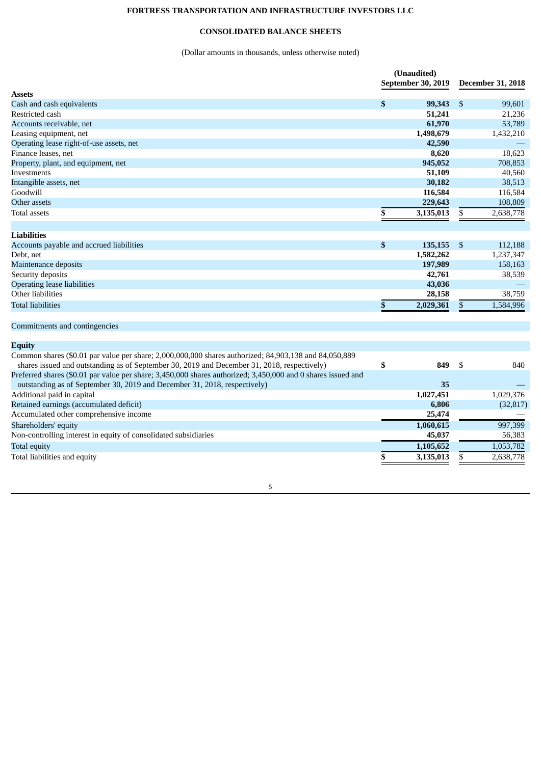## **FORTRESS TRANSPORTATION AND INFRASTRUCTURE INVESTORS LLC**

## **CONSOLIDATED BALANCE SHEETS**

## (Dollar amounts in thousands, unless otherwise noted)

|                                                                                                              | (Unaudited)               |                    |              |                          |  |
|--------------------------------------------------------------------------------------------------------------|---------------------------|--------------------|--------------|--------------------------|--|
|                                                                                                              |                           | September 30, 2019 |              | <b>December 31, 2018</b> |  |
| <b>Assets</b>                                                                                                |                           |                    |              |                          |  |
| Cash and cash equivalents                                                                                    | \$                        | 99,343             | \$           | 99,601                   |  |
| Restricted cash                                                                                              |                           | 51,241             |              | 21,236                   |  |
| Accounts receivable, net                                                                                     |                           | 61,970             |              | 53,789                   |  |
| Leasing equipment, net                                                                                       |                           | 1,498,679          |              | 1,432,210                |  |
| Operating lease right-of-use assets, net                                                                     |                           | 42,590             |              |                          |  |
| Finance leases, net                                                                                          |                           | 8,620              |              | 18,623                   |  |
| Property, plant, and equipment, net                                                                          |                           | 945,052            |              | 708,853                  |  |
| Investments                                                                                                  |                           | 51,109             |              | 40,560                   |  |
| Intangible assets, net                                                                                       |                           | 30,182             |              | 38,513                   |  |
| Goodwill                                                                                                     |                           | 116,584            |              | 116,584                  |  |
| Other assets                                                                                                 |                           | 229,643            |              | 108,809                  |  |
| <b>Total assets</b>                                                                                          | \$                        | 3,135,013          | \$           | 2,638,778                |  |
|                                                                                                              |                           |                    |              |                          |  |
| <b>Liabilities</b>                                                                                           |                           |                    |              |                          |  |
| Accounts payable and accrued liabilities                                                                     | $\boldsymbol{\mathsf{s}}$ | 135,155            | \$           | 112,188                  |  |
| Debt, net                                                                                                    |                           | 1,582,262          |              | 1,237,347                |  |
| Maintenance deposits                                                                                         |                           | 197,989            |              | 158,163                  |  |
| Security deposits                                                                                            |                           | 42,761             |              | 38,539                   |  |
| <b>Operating lease liabilities</b>                                                                           |                           | 43,036             |              |                          |  |
| Other liabilities                                                                                            |                           | 28,158             |              | 38,759                   |  |
| <b>Total liabilities</b>                                                                                     | \$                        | 2,029,361          | $\mathbb{S}$ | 1,584,996                |  |
|                                                                                                              |                           |                    |              |                          |  |
| Commitments and contingencies                                                                                |                           |                    |              |                          |  |
| <b>Equity</b>                                                                                                |                           |                    |              |                          |  |
| Common shares (\$0.01 par value per share; 2,000,000,000 shares authorized; 84,903,138 and 84,050,889        |                           |                    |              |                          |  |
| shares issued and outstanding as of September 30, 2019 and December 31, 2018, respectively)                  | \$                        | 849                | \$           | 840                      |  |
| Preferred shares (\$0.01 par value per share; 3,450,000 shares authorized; 3,450,000 and 0 shares issued and |                           |                    |              |                          |  |
| outstanding as of September 30, 2019 and December 31, 2018, respectively)                                    |                           | 35                 |              |                          |  |
| Additional paid in capital                                                                                   |                           | 1,027,451          |              | 1,029,376                |  |
| Retained earnings (accumulated deficit)                                                                      |                           | 6,806              |              | (32, 817)                |  |
| Accumulated other comprehensive income                                                                       |                           | 25,474             |              |                          |  |
| Shareholders' equity                                                                                         |                           | 1,060,615          |              | 997,399                  |  |
| Non-controlling interest in equity of consolidated subsidiaries                                              |                           | 45,037             |              | 56,383                   |  |
| <b>Total equity</b>                                                                                          |                           | 1,105,652          |              | 1,053,782                |  |
| Total liabilities and equity                                                                                 | \$                        | 3,135,013          | \$           | 2,638,778                |  |
|                                                                                                              |                           |                    |              |                          |  |
|                                                                                                              |                           |                    |              |                          |  |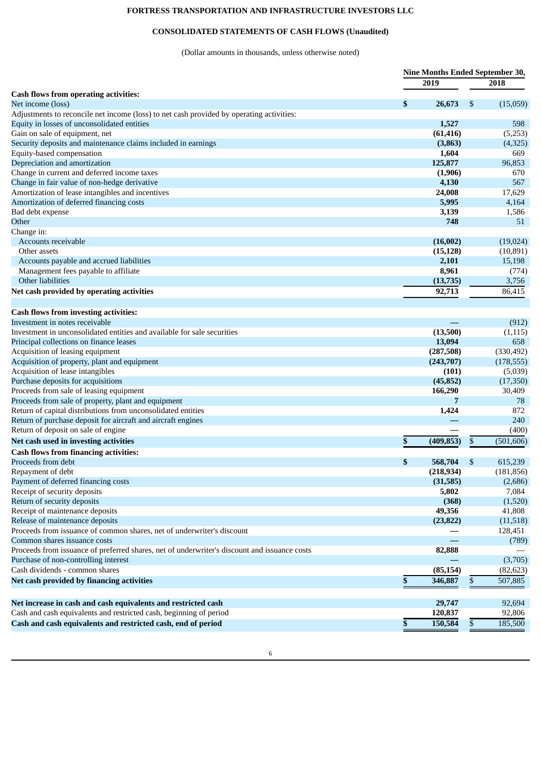## **FORTRESS TRANSPORTATION AND INFRASTRUCTURE INVESTORS LLC**

## **CONSOLIDATED STATEMENTS OF CASH FLOWS (Unaudited)**

(Dollar amounts in thousands, unless otherwise noted)

|                                                                                              | Nine Months Ended September 30, |            |    |            |  |  |
|----------------------------------------------------------------------------------------------|---------------------------------|------------|----|------------|--|--|
|                                                                                              |                                 | 2019       |    | 2018       |  |  |
| <b>Cash flows from operating activities:</b>                                                 |                                 |            |    |            |  |  |
| Net income (loss)                                                                            | \$                              | 26,673     | \$ | (15,059)   |  |  |
| Adjustments to reconcile net income (loss) to net cash provided by operating activities:     |                                 |            |    |            |  |  |
| Equity in losses of unconsolidated entities                                                  |                                 | 1,527      |    | 598        |  |  |
| Gain on sale of equipment, net                                                               |                                 | (61, 416)  |    | (5,253)    |  |  |
| Security deposits and maintenance claims included in earnings                                |                                 | (3, 863)   |    | (4,325)    |  |  |
| Equity-based compensation                                                                    |                                 | 1,604      |    | 669        |  |  |
| Depreciation and amortization                                                                |                                 | 125,877    |    | 96,853     |  |  |
| Change in current and deferred income taxes                                                  |                                 | (1,906)    |    | 670        |  |  |
| Change in fair value of non-hedge derivative                                                 |                                 | 4,130      |    | 567        |  |  |
| Amortization of lease intangibles and incentives                                             |                                 | 24,008     |    | 17,629     |  |  |
| Amortization of deferred financing costs                                                     |                                 | 5,995      |    | 4,164      |  |  |
| Bad debt expense                                                                             |                                 | 3,139      |    | 1,586      |  |  |
| Other                                                                                        |                                 | 748        |    | 51         |  |  |
| Change in:                                                                                   |                                 |            |    |            |  |  |
| Accounts receivable                                                                          |                                 | (16,002)   |    | (19,024)   |  |  |
| Other assets                                                                                 |                                 | (15, 128)  |    | (10,891)   |  |  |
| Accounts payable and accrued liabilities                                                     |                                 | 2,101      |    | 15,198     |  |  |
| Management fees payable to affiliate                                                         |                                 | 8,961      |    | (774)      |  |  |
| Other liabilities                                                                            |                                 | (13,735)   |    | 3,756      |  |  |
| Net cash provided by operating activities                                                    |                                 | 92,713     |    | 86,415     |  |  |
|                                                                                              |                                 |            |    |            |  |  |
| <b>Cash flows from investing activities:</b>                                                 |                                 |            |    |            |  |  |
| Investment in notes receivable                                                               |                                 |            |    | (912)      |  |  |
| Investment in unconsolidated entities and available for sale securities                      |                                 | (13,500)   |    | (1, 115)   |  |  |
| Principal collections on finance leases                                                      |                                 | 13,094     |    | 658        |  |  |
| Acquisition of leasing equipment                                                             |                                 | (287,508)  |    | (330, 492) |  |  |
| Acquisition of property, plant and equipment                                                 |                                 | (243,707)  |    | (178, 555) |  |  |
| Acquisition of lease intangibles                                                             |                                 | (101)      |    | (5,039)    |  |  |
| Purchase deposits for acquisitions                                                           |                                 | (45, 852)  |    | (17,350)   |  |  |
| Proceeds from sale of leasing equipment                                                      |                                 | 166,290    |    | 30,409     |  |  |
| Proceeds from sale of property, plant and equipment                                          |                                 | 7          |    | 78         |  |  |
| Return of capital distributions from unconsolidated entities                                 |                                 | 1,424      |    | 872        |  |  |
| Return of purchase deposit for aircraft and aircraft engines                                 |                                 |            |    | 240        |  |  |
| Return of deposit on sale of engine                                                          |                                 |            |    | (400)      |  |  |
| Net cash used in investing activities                                                        | \$                              | (409, 853) | \$ | (501, 606) |  |  |
| <b>Cash flows from financing activities:</b>                                                 |                                 |            |    |            |  |  |
| Proceeds from debt                                                                           | \$                              | 568,704    | S  | 615,239    |  |  |
| Repayment of debt                                                                            |                                 | (218, 934) |    | (181, 856) |  |  |
| Payment of deferred financing costs                                                          |                                 | (31,585)   |    | (2,686)    |  |  |
| Receipt of security deposits                                                                 |                                 | 5,802      |    | 7,084      |  |  |
| Return of security deposits                                                                  |                                 | (368)      |    | (1,520)    |  |  |
| Receipt of maintenance deposits                                                              |                                 | 49,356     |    | 41,808     |  |  |
| Release of maintenance deposits                                                              |                                 | (23, 822)  |    | (11,518)   |  |  |
| Proceeds from issuance of common shares, net of underwriter's discount                       |                                 |            |    | 128,451    |  |  |
| Common shares issuance costs                                                                 |                                 |            |    | (789)      |  |  |
| Proceeds from issuance of preferred shares, net of underwriter's discount and issuance costs |                                 | 82,888     |    |            |  |  |
| Purchase of non-controlling interest                                                         |                                 |            |    | (3,705)    |  |  |
| Cash dividends - common shares                                                               |                                 | (85, 154)  |    | (82, 623)  |  |  |
| Net cash provided by financing activities                                                    | \$                              | 346,887    | \$ | 507,885    |  |  |
|                                                                                              |                                 |            |    |            |  |  |
| Net increase in cash and cash equivalents and restricted cash                                |                                 | 29,747     |    | 92,694     |  |  |
| Cash and cash equivalents and restricted cash, beginning of period                           |                                 | 120,837    |    | 92,806     |  |  |
| Cash and cash equivalents and restricted cash, end of period                                 | \$                              | 150,584    | \$ | 185,500    |  |  |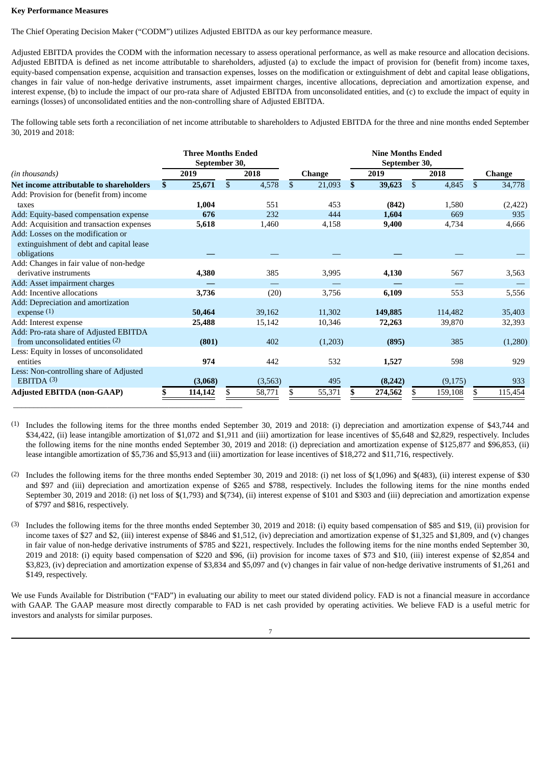#### **Key Performance Measures**

The Chief Operating Decision Maker ("CODM") utilizes Adjusted EBITDA as our key performance measure.

Adjusted EBITDA provides the CODM with the information necessary to assess operational performance, as well as make resource and allocation decisions. Adjusted EBITDA is defined as net income attributable to shareholders, adjusted (a) to exclude the impact of provision for (benefit from) income taxes, equity-based compensation expense, acquisition and transaction expenses, losses on the modification or extinguishment of debt and capital lease obligations, changes in fair value of non-hedge derivative instruments, asset impairment charges, incentive allocations, depreciation and amortization expense, and interest expense, (b) to include the impact of our pro-rata share of Adjusted EBITDA from unconsolidated entities, and (c) to exclude the impact of equity in earnings (losses) of unconsolidated entities and the non-controlling share of Adjusted EBITDA.

The following table sets forth a reconciliation of net income attributable to shareholders to Adjusted EBITDA for the three and nine months ended September 30, 2019 and 2018:

|                                           |    | <b>Three Months Ended</b><br>September 30, |              |              |               | <b>Nine Months Ended</b><br>September 30, |         |               |         |                |               |  |  |  |  |
|-------------------------------------------|----|--------------------------------------------|--------------|--------------|---------------|-------------------------------------------|---------|---------------|---------|----------------|---------------|--|--|--|--|
| (in thousands)                            |    | 2019                                       | 2018         |              | <b>Change</b> |                                           | 2019    |               | 2018    |                | <b>Change</b> |  |  |  |  |
| Net income attributable to shareholders   | S. | 25,671                                     | \$<br>4,578  | $\mathbb{S}$ | 21,093        | $\mathbf{s}$                              | 39,623  | <sup>\$</sup> | 4,845   | $\mathfrak{S}$ | 34,778        |  |  |  |  |
| Add: Provision for (benefit from) income  |    |                                            |              |              |               |                                           |         |               |         |                |               |  |  |  |  |
| taxes                                     |    | 1,004                                      | 551          |              | 453           |                                           | (842)   |               | 1,580   |                | (2, 422)      |  |  |  |  |
| Add: Equity-based compensation expense    |    | 676                                        | 232          |              | 444           |                                           | 1,604   |               | 669     |                | 935           |  |  |  |  |
| Add: Acquisition and transaction expenses |    | 5,618                                      | 1,460        |              | 4,158         |                                           | 9,400   |               | 4,734   |                | 4,666         |  |  |  |  |
| Add: Losses on the modification or        |    |                                            |              |              |               |                                           |         |               |         |                |               |  |  |  |  |
| extinguishment of debt and capital lease  |    |                                            |              |              |               |                                           |         |               |         |                |               |  |  |  |  |
| obligations                               |    |                                            |              |              |               |                                           |         |               |         |                |               |  |  |  |  |
| Add: Changes in fair value of non-hedge   |    |                                            |              |              |               |                                           |         |               |         |                |               |  |  |  |  |
| derivative instruments                    |    | 4,380                                      | 385          |              | 3,995         |                                           | 4,130   |               | 567     |                | 3,563         |  |  |  |  |
| Add: Asset impairment charges             |    |                                            |              |              |               |                                           |         |               |         |                |               |  |  |  |  |
| Add: Incentive allocations                |    | 3,736                                      | (20)         |              | 3,756         |                                           | 6,109   |               | 553     |                | 5,556         |  |  |  |  |
| Add: Depreciation and amortization        |    |                                            |              |              |               |                                           |         |               |         |                |               |  |  |  |  |
| expense $(1)$                             |    | 50,464                                     | 39,162       |              | 11,302        |                                           | 149,885 |               | 114,482 |                | 35,403        |  |  |  |  |
| Add: Interest expense                     |    | 25,488                                     | 15,142       |              | 10,346        |                                           | 72,263  |               | 39,870  |                | 32,393        |  |  |  |  |
| Add: Pro-rata share of Adjusted EBITDA    |    |                                            |              |              |               |                                           |         |               |         |                |               |  |  |  |  |
| from unconsolidated entities (2)          |    | (801)                                      | 402          |              | (1,203)       |                                           | (895)   |               | 385     |                | (1,280)       |  |  |  |  |
| Less: Equity in losses of unconsolidated  |    |                                            |              |              |               |                                           |         |               |         |                |               |  |  |  |  |
| entities                                  |    | 974                                        | 442          |              | 532           |                                           | 1,527   |               | 598     |                | 929           |  |  |  |  |
| Less: Non-controlling share of Adjusted   |    |                                            |              |              |               |                                           |         |               |         |                |               |  |  |  |  |
| EBITDA $(3)$                              |    | (3,068)                                    | (3,563)      |              | 495           |                                           | (8,242) |               | (9,175) |                | 933           |  |  |  |  |
| <b>Adjusted EBITDA (non-GAAP)</b>         |    | 114,142                                    | \$<br>58,771 | S            | 55,371        | S                                         | 274,562 | S             | 159,108 | S.             | 115,454       |  |  |  |  |

(1) Includes the following items for the three months ended September 30, 2019 and 2018: (i) depreciation and amortization expense of \$43,744 and \$34,422, (ii) lease intangible amortization of \$1,072 and \$1,911 and (iii) amortization for lease incentives of \$5,648 and \$2,829, respectively. Includes the following items for the nine months ended September 30, 2019 and 2018: (i) depreciation and amortization expense of \$125,877 and \$96,853, (ii) lease intangible amortization of \$5,736 and \$5,913 and (iii) amortization for lease incentives of \$18,272 and \$11,716, respectively.

(2) Includes the following items for the three months ended September 30, 2019 and 2018: (i) net loss of \$(1,096) and \$(483), (ii) interest expense of \$30 and \$97 and (iii) depreciation and amortization expense of \$265 and \$788, respectively. Includes the following items for the nine months ended September 30, 2019 and 2018: (i) net loss of \$(1,793) and \$(734), (ii) interest expense of \$101 and \$303 and (iii) depreciation and amortization expense of \$797 and \$816, respectively.

(3) Includes the following items for the three months ended September 30, 2019 and 2018: (i) equity based compensation of \$85 and \$19, (ii) provision for income taxes of \$27 and \$2, (iii) interest expense of \$846 and \$1,512, (iv) depreciation and amortization expense of \$1,325 and \$1,809, and (v) changes in fair value of non-hedge derivative instruments of \$785 and \$221, respectively. Includes the following items for the nine months ended September 30, 2019 and 2018: (i) equity based compensation of \$220 and \$96, (ii) provision for income taxes of \$73 and \$10, (iii) interest expense of \$2,854 and \$3,823, (iv) depreciation and amortization expense of \$3,834 and \$5,097 and (v) changes in fair value of non-hedge derivative instruments of \$1,261 and \$149, respectively.

We use Funds Available for Distribution ("FAD") in evaluating our ability to meet our stated dividend policy. FAD is not a financial measure in accordance with GAAP. The GAAP measure most directly comparable to FAD is net cash provided by operating activities. We believe FAD is a useful metric for investors and analysts for similar purposes.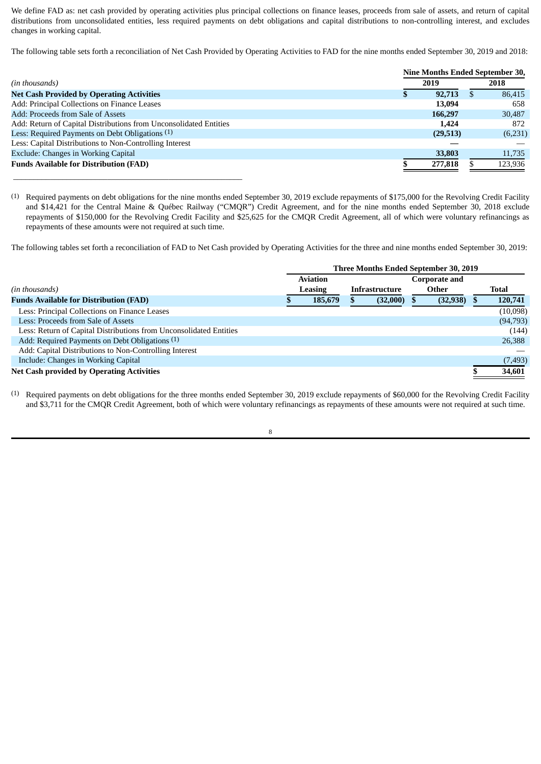We define FAD as: net cash provided by operating activities plus principal collections on finance leases, proceeds from sale of assets, and return of capital distributions from unconsolidated entities, less required payments on debt obligations and capital distributions to non-controlling interest, and excludes changes in working capital.

The following table sets forth a reconciliation of Net Cash Provided by Operating Activities to FAD for the nine months ended September 30, 2019 and 2018:

|                                                                   | <b>Nine Months Ended September 30,</b> |           |   |         |  |  |  |  |
|-------------------------------------------------------------------|----------------------------------------|-----------|---|---------|--|--|--|--|
| (in thousands)                                                    |                                        | 2019      |   | 2018    |  |  |  |  |
| <b>Net Cash Provided by Operating Activities</b>                  |                                        | 92,713    | Ъ | 86.415  |  |  |  |  |
| Add: Principal Collections on Finance Leases                      |                                        | 13,094    |   | 658     |  |  |  |  |
| Add: Proceeds from Sale of Assets                                 |                                        | 166,297   |   | 30,487  |  |  |  |  |
| Add: Return of Capital Distributions from Unconsolidated Entities |                                        | 1.424     |   | 872     |  |  |  |  |
| Less: Required Payments on Debt Obligations (1)                   |                                        | (29, 513) |   | (6,231) |  |  |  |  |
| Less: Capital Distributions to Non-Controlling Interest           |                                        |           |   |         |  |  |  |  |
| Exclude: Changes in Working Capital                               |                                        | 33,803    |   | 11,735  |  |  |  |  |
| <b>Funds Available for Distribution (FAD)</b>                     |                                        | 277,818   |   | 123,936 |  |  |  |  |
|                                                                   |                                        |           |   |         |  |  |  |  |

(1) Required payments on debt obligations for the nine months ended September 30, 2019 exclude repayments of \$175,000 for the Revolving Credit Facility and \$14,421 for the Central Maine & Québec Railway ("CMQR") Credit Agreement, and for the nine months ended September 30, 2018 exclude repayments of \$150,000 for the Revolving Credit Facility and \$25,625 for the CMQR Credit Agreement, all of which were voluntary refinancings as repayments of these amounts were not required at such time.

The following tables set forth a reconciliation of FAD to Net Cash provided by Operating Activities for the three and nine months ended September 30, 2019:

|                                                                    |  | Three Months Ended September 30, 2019 |                       |                               |  |           |
|--------------------------------------------------------------------|--|---------------------------------------|-----------------------|-------------------------------|--|-----------|
| (in thousands)                                                     |  | <b>Aviation</b><br>Leasing            | <b>Infrastructure</b> | <b>Corporate and</b><br>Other |  | Total     |
| <b>Funds Available for Distribution (FAD)</b>                      |  | 185,679                               | (32,000)              | (32, 938)                     |  | 120,741   |
| Less: Principal Collections on Finance Leases                      |  |                                       |                       |                               |  | (10,098)  |
| Less: Proceeds from Sale of Assets                                 |  |                                       |                       |                               |  | (94, 793) |
| Less: Return of Capital Distributions from Unconsolidated Entities |  |                                       |                       |                               |  | (144)     |
| Add: Required Payments on Debt Obligations (1)                     |  |                                       |                       |                               |  | 26,388    |
| Add: Capital Distributions to Non-Controlling Interest             |  |                                       |                       |                               |  |           |
| Include: Changes in Working Capital                                |  |                                       |                       |                               |  | (7, 493)  |
| <b>Net Cash provided by Operating Activities</b>                   |  |                                       |                       |                               |  | 34,601    |

(1) Required payments on debt obligations for the three months ended September 30, 2019 exclude repayments of \$60,000 for the Revolving Credit Facility and \$3,711 for the CMQR Credit Agreement, both of which were voluntary refinancings as repayments of these amounts were not required at such time.